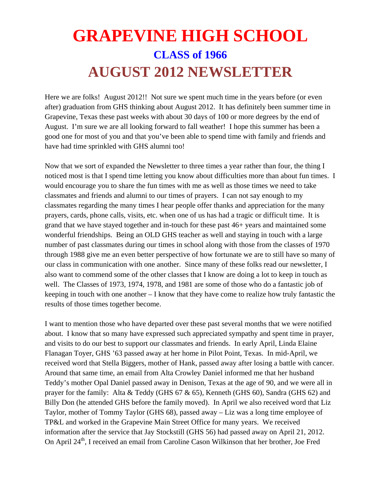## **GRAPEVINE HIGH SCHOOL CLASS of 1966 AUGUST 2012 NEWSLETTER**

Here we are folks! August 2012!! Not sure we spent much time in the years before (or even after) graduation from GHS thinking about August 2012. It has definitely been summer time in Grapevine, Texas these past weeks with about 30 days of 100 or more degrees by the end of August. I'm sure we are all looking forward to fall weather! I hope this summer has been a good one for most of you and that you've been able to spend time with family and friends and have had time sprinkled with GHS alumni too!

Now that we sort of expanded the Newsletter to three times a year rather than four, the thing I noticed most is that I spend time letting you know about difficulties more than about fun times. I would encourage you to share the fun times with me as well as those times we need to take classmates and friends and alumni to our times of prayers. I can not say enough to my classmates regarding the many times I hear people offer thanks and appreciation for the many prayers, cards, phone calls, visits, etc. when one of us has had a tragic or difficult time. It is grand that we have stayed together and in-touch for these past 46+ years and maintained some wonderful friendships. Being an OLD GHS teacher as well and staying in touch with a large number of past classmates during our times in school along with those from the classes of 1970 through 1988 give me an even better perspective of how fortunate we are to still have so many of our class in communication with one another. Since many of these folks read our newsletter, I also want to commend some of the other classes that I know are doing a lot to keep in touch as well. The Classes of 1973, 1974, 1978, and 1981 are some of those who do a fantastic job of keeping in touch with one another – I know that they have come to realize how truly fantastic the results of those times together become.

I want to mention those who have departed over these past several months that we were notified about. I know that so many have expressed such appreciated sympathy and spent time in prayer, and visits to do our best to support our classmates and friends. In early April, Linda Elaine Flanagan Toyer, GHS '63 passed away at her home in Pilot Point, Texas. In mid-April, we received word that Stella Biggers, mother of Hank, passed away after losing a battle with cancer. Around that same time, an email from Alta Crowley Daniel informed me that her husband Teddy's mother Opal Daniel passed away in Denison, Texas at the age of 90, and we were all in prayer for the family: Alta & Teddy (GHS 67 & 65), Kenneth (GHS 60), Sandra (GHS 62) and Billy Don (he attended GHS before the family moved). In April we also received word that Liz Taylor, mother of Tommy Taylor (GHS 68), passed away – Liz was a long time employee of TP&L and worked in the Grapevine Main Street Office for many years. We received information after the service that Jay Stockstill (GHS 56) had passed away on April 21, 2012. On April 24<sup>th</sup>, I received an email from Caroline Cason Wilkinson that her brother, Joe Fred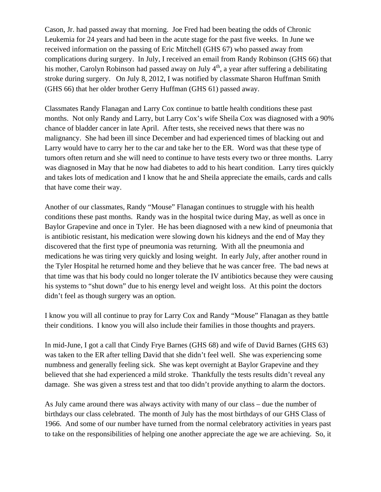Cason, Jr. had passed away that morning. Joe Fred had been beating the odds of Chronic Leukemia for 24 years and had been in the acute stage for the past five weeks. In June we received information on the passing of Eric Mitchell (GHS 67) who passed away from complications during surgery. In July, I received an email from Randy Robinson (GHS 66) that his mother, Carolyn Robinson had passed away on July  $4<sup>th</sup>$ , a year after suffering a debilitating stroke during surgery. On July 8, 2012, I was notified by classmate Sharon Huffman Smith (GHS 66) that her older brother Gerry Huffman (GHS 61) passed away.

Classmates Randy Flanagan and Larry Cox continue to battle health conditions these past months. Not only Randy and Larry, but Larry Cox's wife Sheila Cox was diagnosed with a 90% chance of bladder cancer in late April. After tests, she received news that there was no malignancy. She had been ill since December and had experienced times of blacking out and Larry would have to carry her to the car and take her to the ER. Word was that these type of tumors often return and she will need to continue to have tests every two or three months. Larry was diagnosed in May that he now had diabetes to add to his heart condition. Larry tires quickly and takes lots of medication and I know that he and Sheila appreciate the emails, cards and calls that have come their way.

Another of our classmates, Randy "Mouse" Flanagan continues to struggle with his health conditions these past months. Randy was in the hospital twice during May, as well as once in Baylor Grapevine and once in Tyler. He has been diagnosed with a new kind of pneumonia that is antibiotic resistant, his medication were slowing down his kidneys and the end of May they discovered that the first type of pneumonia was returning. With all the pneumonia and medications he was tiring very quickly and losing weight. In early July, after another round in the Tyler Hospital he returned home and they believe that he was cancer free. The bad news at that time was that his body could no longer tolerate the IV antibiotics because they were causing his systems to "shut down" due to his energy level and weight loss. At this point the doctors didn't feel as though surgery was an option.

I know you will all continue to pray for Larry Cox and Randy "Mouse" Flanagan as they battle their conditions. I know you will also include their families in those thoughts and prayers.

In mid-June, I got a call that Cindy Frye Barnes (GHS 68) and wife of David Barnes (GHS 63) was taken to the ER after telling David that she didn't feel well. She was experiencing some numbness and generally feeling sick. She was kept overnight at Baylor Grapevine and they believed that she had experienced a mild stroke. Thankfully the tests results didn't reveal any damage. She was given a stress test and that too didn't provide anything to alarm the doctors.

As July came around there was always activity with many of our class – due the number of birthdays our class celebrated. The month of July has the most birthdays of our GHS Class of 1966. And some of our number have turned from the normal celebratory activities in years past to take on the responsibilities of helping one another appreciate the age we are achieving. So, it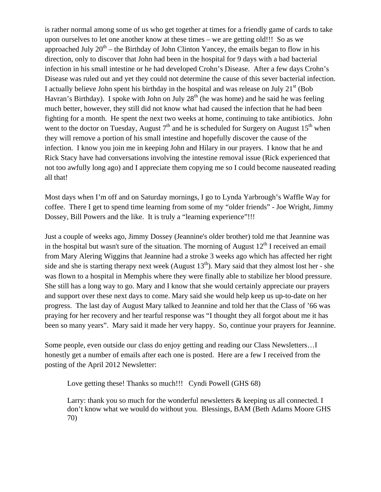is rather normal among some of us who get together at times for a friendly game of cards to take upon ourselves to let one another know at these times – we are getting old!!! So as we approached July  $20<sup>th</sup>$  – the Birthday of John Clinton Yancey, the emails began to flow in his direction, only to discover that John had been in the hospital for 9 days with a bad bacterial infection in his small intestine or he had developed Crohn's Disease. After a few days Crohn's Disease was ruled out and yet they could not determine the cause of this sever bacterial infection. I actually believe John spent his birthday in the hospital and was release on July  $21<sup>st</sup>$  (Bob Havran's Birthday). I spoke with John on July  $28<sup>th</sup>$  (he was home) and he said he was feeling much better, however, they still did not know what had caused the infection that he had been fighting for a month. He spent the next two weeks at home, continuing to take antibiotics. John went to the doctor on Tuesday, August  $7<sup>th</sup>$  and he is scheduled for Surgery on August  $15<sup>th</sup>$  when they will remove a portion of his small intestine and hopefully discover the cause of the infection. I know you join me in keeping John and Hilary in our prayers. I know that he and Rick Stacy have had conversations involving the intestine removal issue (Rick experienced that not too awfully long ago) and I appreciate them copying me so I could become nauseated reading all that!

Most days when I'm off and on Saturday mornings, I go to Lynda Yarbrough's Waffle Way for coffee. There I get to spend time learning from some of my "older friends" - Joe Wright, Jimmy Dossey, Bill Powers and the like. It is truly a "learning experience"!!!

Just a couple of weeks ago, Jimmy Dossey (Jeannine's older brother) told me that Jeannine was in the hospital but wasn't sure of the situation. The morning of August  $12<sup>th</sup>$  I received an email from Mary Alering Wiggins that Jeannine had a stroke 3 weeks ago which has affected her right side and she is starting therapy next week (August  $13<sup>th</sup>$ ). Mary said that they almost lost her - she was flown to a hospital in Memphis where they were finally able to stabilize her blood pressure. She still has a long way to go. Mary and I know that she would certainly appreciate our prayers and support over these next days to come. Mary said she would help keep us up-to-date on her progress. The last day of August Mary talked to Jeannine and told her that the Class of '66 was praying for her recovery and her tearful response was "I thought they all forgot about me it has been so many years". Mary said it made her very happy. So, continue your prayers for Jeannine.

Some people, even outside our class do enjoy getting and reading our Class Newsletters…I honestly get a number of emails after each one is posted. Here are a few I received from the posting of the April 2012 Newsletter:

Love getting these! Thanks so much!!! Cyndi Powell (GHS 68)

Larry: thank you so much for the wonderful newsletters & keeping us all connected. I don't know what we would do without you. Blessings, BAM (Beth Adams Moore GHS 70)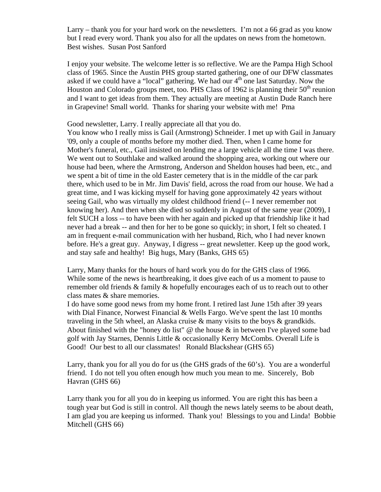Larry – thank you for your hard work on the newsletters. I'm not a 66 grad as you know but I read every word. Thank you also for all the updates on news from the hometown. Best wishes. Susan Post Sanford

I enjoy your website. The welcome letter is so reflective. We are the Pampa High School class of 1965. Since the Austin PHS group started gathering, one of our DFW classmates asked if we could have a "local" gathering. We had our  $4<sup>th</sup>$  one last Saturday. Now the Houston and Colorado groups meet, too. PHS Class of 1962 is planning their  $50<sup>th</sup>$  reunion and I want to get ideas from them. They actually are meeting at Austin Dude Ranch here in Grapevine! Small world. Thanks for sharing your website with me! Pma

Good newsletter, Larry. I really appreciate all that you do.

You know who I really miss is Gail (Armstrong) Schneider. I met up with Gail in January '09, only a couple of months before my mother died. Then, when I came home for Mother's funeral, etc., Gail insisted on lending me a large vehicle all the time I was there. We went out to Southlake and walked around the shopping area, working out where our house had been, where the Armstrong, Anderson and Sheldon houses had been, etc., and we spent a bit of time in the old Easter cemetery that is in the middle of the car park there, which used to be in Mr. Jim Davis' field, across the road from our house. We had a great time, and I was kicking myself for having gone approximately 42 years without seeing Gail, who was virtually my oldest childhood friend (-- I never remember not knowing her). And then when she died so suddenly in August of the same year (2009), I felt SUCH a loss -- to have been with her again and picked up that friendship like it had never had a break -- and then for her to be gone so quickly; in short, I felt so cheated. I am in frequent e-mail communication with her husband, Rich, who I had never known before. He's a great guy. Anyway, I digress -- great newsletter. Keep up the good work, and stay safe and healthy! Big hugs, Mary (Banks, GHS 65)

Larry, Many thanks for the hours of hard work you do for the GHS class of 1966. While some of the news is heartbreaking, it does give each of us a moment to pause to remember old friends & family & hopefully encourages each of us to reach out to other class mates & share memories.

I do have some good news from my home front. I retired last June 15th after 39 years with Dial Finance, Norwest Financial & Wells Fargo. We've spent the last 10 months traveling in the 5th wheel, an Alaska cruise & many visits to the boys & grandkids. About finished with the "honey do list"  $\omega$  the house  $\&$  in between I've played some bad golf with Jay Starnes, Dennis Little & occasionally Kerry McCombs. Overall Life is Good! Our best to all our classmates! Ronald Blackshear (GHS 65)

Larry, thank you for all you do for us (the GHS grads of the 60's). You are a wonderful friend. I do not tell you often enough how much you mean to me. Sincerely, Bob Havran (GHS 66)

Larry thank you for all you do in keeping us informed. You are right this has been a tough year but God is still in control. All though the news lately seems to be about death, I am glad you are keeping us informed. Thank you! Blessings to you and Linda! Bobbie Mitchell (GHS 66)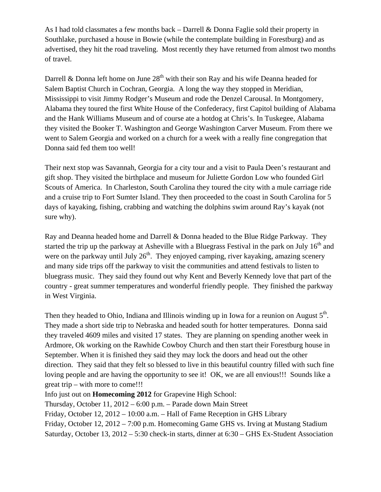As I had told classmates a few months back – Darrell & Donna Faglie sold their property in Southlake, purchased a house in Bowie (while the contemplate building in Forestburg) and as advertised, they hit the road traveling. Most recently they have returned from almost two months of travel.

Darrell & Donna left home on June  $28<sup>th</sup>$  with their son Ray and his wife Deanna headed for Salem Baptist Church in Cochran, Georgia. A long the way they stopped in Meridian, Mississippi to visit Jimmy Rodger's Museum and rode the Denzel Carousal. In Montgomery, Alabama they toured the first White House of the Confederacy, first Capitol building of Alabama and the Hank Williams Museum and of course ate a hotdog at Chris's. In Tuskegee, Alabama they visited the Booker T. Washington and George Washington Carver Museum. From there we went to Salem Georgia and worked on a church for a week with a really fine congregation that Donna said fed them too well!

Their next stop was Savannah, Georgia for a city tour and a visit to Paula Deen's restaurant and gift shop. They visited the birthplace and museum for Juliette Gordon Low who founded Girl Scouts of America. In Charleston, South Carolina they toured the city with a mule carriage ride and a cruise trip to Fort Sumter Island. They then proceeded to the coast in South Carolina for 5 days of kayaking, fishing, crabbing and watching the dolphins swim around Ray's kayak (not sure why).

Ray and Deanna headed home and Darrell & Donna headed to the Blue Ridge Parkway. They started the trip up the parkway at Asheville with a Bluegrass Festival in the park on July  $16<sup>th</sup>$  and were on the parkway until July  $26<sup>th</sup>$ . They enjoyed camping, river kayaking, amazing scenery and many side trips off the parkway to visit the communities and attend festivals to listen to bluegrass music. They said they found out why Kent and Beverly Kennedy love that part of the country - great summer temperatures and wonderful friendly people. They finished the parkway in West Virginia.

Then they headed to Ohio, Indiana and Illinois winding up in Iowa for a reunion on August  $5<sup>th</sup>$ . They made a short side trip to Nebraska and headed south for hotter temperatures. Donna said they traveled 4609 miles and visited 17 states. They are planning on spending another week in Ardmore, Ok working on the Rawhide Cowboy Church and then start their Forestburg house in September. When it is finished they said they may lock the doors and head out the other direction. They said that they felt so blessed to live in this beautiful country filled with such fine loving people and are having the opportunity to see it! OK, we are all envious!!! Sounds like a great trip – with more to come!!!

Info just out on **Homecoming 2012** for Grapevine High School:

Thursday, October 11, 2012 – 6:00 p.m. – Parade down Main Street

Friday, October 12, 2012 – 10:00 a.m. – Hall of Fame Reception in GHS Library

Friday, October 12, 2012 – 7:00 p.m. Homecoming Game GHS vs. Irving at Mustang Stadium Saturday, October 13, 2012 – 5:30 check-in starts, dinner at 6:30 – GHS Ex-Student Association